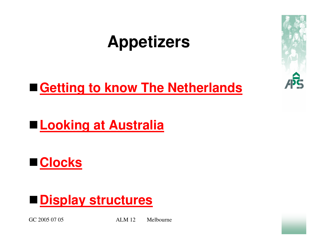# **Appetizers**

**Getting to know The Netherlands**

**Looking at Australia**

**Clocks**



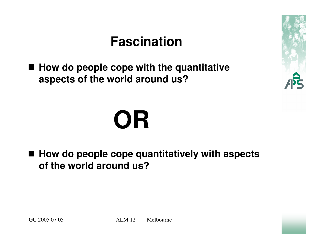#### **Fascination**

■ How do people cope with the quantitative **■ aspects of the world around us?**

# **OR**

■ How do people cope quantitatively with aspects **of the world around us?**

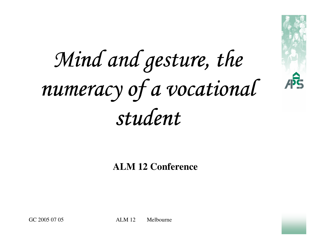# Mind and gesture, the numeracy of a vocational student



**ALM 12 Conference**

GC 2005 07 05 ALM 12 Melbourne

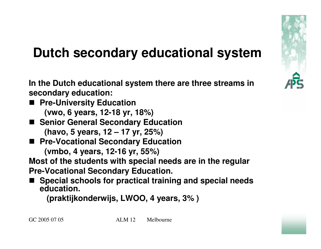

### **Dutch secondary educational system**

**In the Dutch educational system there are three streams insecondary education:**

- **Pre-University Education (vwo, 6 years, 12-18 yr, 18%)**
- Senior General Secondary Education<br>
(have 5 years 19, 17 yr 95%) **(havo, 5 years, 12 – 17 yr, 25%)**
- Pre-Vocational Secondary Education **(vmbo, 4 years, 12-16 yr, 55%)**

**Most of the students with special needs are in the regularPre-Vocational Secondary Education.** 

 **Special schools for practical training and special needs education.** 

**(praktijkonderwijs, LWOO, 4 years, 3% )**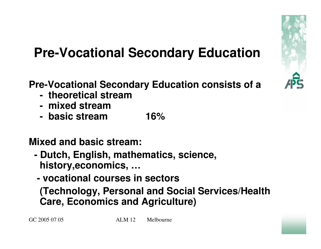

# **Pre-Vocational Secondary Education**

**Pre-Vocational Secondary Education consists of a**

- **theoretical stream**
- **mixed stream**
- **basic stream 16%**

**Mixed and basic stream:** 

- **- Dutch, English, mathematics, science, history,economics, …**
- **vocational courses in sectors**

 **(Technology, Personal and Social Services/Health Care, Economics and Agriculture)**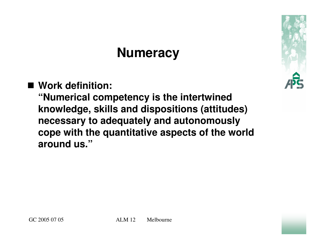# **Numeracy**

■ Work definition:<br>**Alumerical com** 

**"Numerical competency is the intertwined knowledge, skills and dispositions (attitudes) necessary to adequately and autonomously cope with the quantitative aspects of the world around us."**

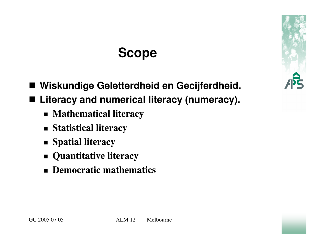# **Scope**

- **Wiskundige Geletterdheid en Gecijferdheid.** ■ Literacy and numerical literacy (numeracy).
	- **Mathematical literacy**
	- **Statistical literacy**
	- **Spatial literacy**
	- **Quantitative literacy**
	- **Democratic mathematics**

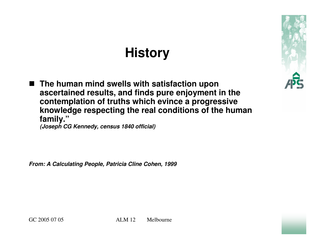# **History**

 **The human mind swells with satisfaction upon ascertained results, and finds pure enjoyment in the contemplation of truths which evince a progressive knowledge respecting the real conditions of the human family."(Joseph CG Kennedy, census 1840 official)**

**From: A Calculating People, Patricia Cline Cohen, 1999**

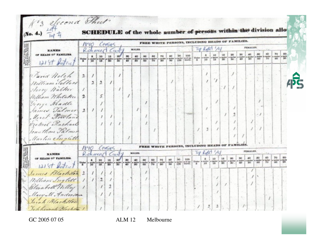|                                      | <b>NAMES</b><br>OF HEADS OF FAMILIES<br>$121'$ st histrict | FREE WHITE PERSONS, INCLUDING HEADS OF FAMILIES.<br>$1840$ Census<br><b>PEMALES</b>               |                      |                                 |                  |                 |              |                       |          |             |                       |                   |     |                                            |          |    |                      |                                 |                                                                       |    |           |                  |                 |             |  |
|--------------------------------------|------------------------------------------------------------|---------------------------------------------------------------------------------------------------|----------------------|---------------------------------|------------------|-----------------|--------------|-----------------------|----------|-------------|-----------------------|-------------------|-----|--------------------------------------------|----------|----|----------------------|---------------------------------|-----------------------------------------------------------------------|----|-----------|------------------|-----------------|-------------|--|
|                                      |                                                            |                                                                                                   |                      | Richmond                        |                  | $C$ $C$ $H$ $H$ | <b>MALES</b> |                       |          |             |                       |                   |     |                                            | Top Rode |    |                      |                                 |                                                                       | 70 |           |                  |                 |             |  |
|                                      |                                                            | $\frac{\text{Under}}{\text{S}}$                                                                   | $10^{\circ}$         | 10<br>15                        | 15               | 20              | 30<br>40     | 40<br>BO <sub>1</sub> | 60       | 60<br>70    | 70<br>BO <sup>1</sup> | $\frac{444m}{90}$ | 100 | 100<br>aunder and up. Under aunder         |          |    | 10<br>$\frac{m}{16}$ | 16<br>$\frac{\text{under}}{20}$ | 30                                                                    | 40 | <b>GO</b> | $-60$            | 70              | usder<br>80 |  |
|                                      | Savid Nelch                                                | $\overline{2}$                                                                                    |                      |                                 |                  |                 |              |                       |          |             |                       |                   |     |                                            |          |    |                      |                                 |                                                                       |    |           |                  |                 |             |  |
|                                      | William Sellen                                             |                                                                                                   | $\overline{2}$       | $\overline{2}$                  |                  |                 |              |                       |          |             |                       |                   |     |                                            |          |    |                      |                                 |                                                                       |    |           |                  |                 |             |  |
|                                      | Joery Walker                                               |                                                                                                   |                      |                                 |                  |                 |              |                       |          |             |                       |                   |     |                                            |          |    |                      |                                 |                                                                       |    |           |                  |                 |             |  |
|                                      | William Whitaker                                           | $\mathfrak{D}$                                                                                    |                      | 5                               |                  |                 |              |                       |          |             |                       |                   |     |                                            |          |    |                      |                                 |                                                                       |    |           |                  |                 |             |  |
|                                      | Jeorge Readle                                              |                                                                                                   |                      |                                 |                  |                 |              |                       |          |             |                       |                   |     |                                            |          |    |                      |                                 |                                                                       |    |           |                  |                 |             |  |
|                                      | Sames Palmer 2                                             |                                                                                                   |                      |                                 |                  |                 |              |                       |          |             |                       |                   |     |                                            |          |    |                      |                                 |                                                                       |    |           |                  |                 |             |  |
|                                      | Herit Rowland                                              |                                                                                                   |                      |                                 |                  |                 |              |                       |          |             |                       |                   |     |                                            |          |    |                      |                                 |                                                                       |    |           |                  |                 |             |  |
|                                      | Ezekiel Rachael                                            |                                                                                                   |                      |                                 |                  |                 |              |                       |          |             |                       |                   |     |                                            |          |    |                      |                                 |                                                                       |    |           |                  |                 |             |  |
|                                      | lenathan Palmer                                            |                                                                                                   |                      |                                 |                  |                 |              |                       |          |             |                       |                   |     |                                            |          |    |                      |                                 |                                                                       |    |           |                  |                 |             |  |
|                                      | Martin Suglett                                             |                                                                                                   |                      |                                 |                  |                 |              |                       |          |             |                       |                   |     |                                            |          |    |                      |                                 |                                                                       |    |           |                  |                 |             |  |
|                                      |                                                            | <b>MNO HEAD</b><br>$1840$ $Census$<br><b>FREE WHITE PERSO</b><br><b>PEMALES.</b><br>Top Rolit 1/4 |                      |                                 |                  |                 |              |                       |          |             |                       |                   |     |                                            |          |    |                      |                                 |                                                                       |    |           |                  |                 |             |  |
| <b>NAMES</b><br>OF HEADS OF FAMILIES |                                                            |                                                                                                   | Richmond Can't       |                                 |                  |                 | <b>MALES</b> |                       |          |             |                       |                   |     |                                            |          | 10 | 15                   | 20                              |                                                                       |    |           |                  | 793             |             |  |
|                                      | $121'$ st Histric                                          | $\frac{\text{Under}}{\text{K}}$                                                                   | 5<br>$\frac{44}{10}$ | 10<br>$\frac{\text{under}}{16}$ | 15 <sub>15</sub> | 20 <sup>2</sup> | 30           | 40<br>60              | 60<br>60 | 60<br>$70-$ | 70<br>80              | 90                | 100 | 109<br>under and ep. Wader a under a under |          |    |                      |                                 | $\times$ under $\sim$ under $\times$ under $\times$ under $\times$ 00 |    |           | a. tamalay<br>60 | ender<br>$79 -$ | 160         |  |
|                                      | amis Blackston 2                                           |                                                                                                   |                      |                                 |                  |                 |              |                       |          |             |                       |                   |     |                                            |          |    |                      |                                 |                                                                       |    |           |                  |                 |             |  |
|                                      | Villiani Inglett                                           |                                                                                                   |                      |                                 |                  |                 |              |                       |          |             |                       |                   |     |                                            |          |    |                      |                                 |                                                                       |    |           |                  |                 |             |  |
|                                      | Elizabeth Milley                                           |                                                                                                   |                      |                                 |                  |                 |              |                       |          |             |                       |                   |     |                                            |          |    |                      |                                 |                                                                       |    |           |                  |                 |             |  |
|                                      | Mary M. Inderson                                           |                                                                                                   |                      |                                 |                  |                 |              |                       |          |             |                       |                   |     |                                            |          |    |                      |                                 |                                                                       |    |           |                  |                 |             |  |
|                                      | Jarah Blackello.                                           |                                                                                                   |                      |                                 |                  |                 |              |                       |          |             |                       |                   |     |                                            |          |    |                      |                                 |                                                                       |    |           |                  |                 |             |  |
|                                      |                                                            |                                                                                                   |                      |                                 |                  |                 |              |                       |          |             |                       |                   |     |                                            |          |    |                      |                                 |                                                                       |    |           |                  |                 |             |  |

GC 2005 07 05 ALM 12 Melbourne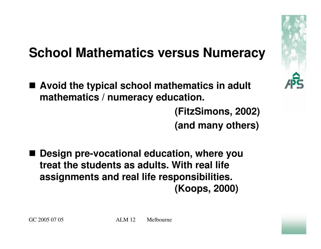# **School Mathematics versus Numeracy**

■ Avoid the typical school mathematics in adult<br>mathematics /mumerosy.oducetion **mathematics / numeracy education.**

> **(FitzSimons, 2002)(and many others)**

■ Design pre-vocational education, where you **treat the students as adults. With real life assignments and real life responsibilities.(Koops, 2000)**

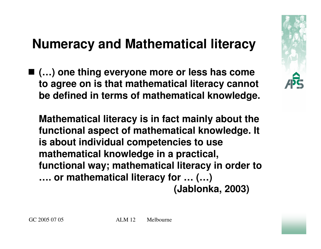### **Numeracy and Mathematical literacy**

 **(…) one thing everyone more or less has come to agree on is that mathematical literacy cannot be defined in terms of mathematical knowledge.** 

**Mathematical literacy is in fact mainly about the functional aspect of mathematical knowledge. It is about individual competencies to use mathematical knowledge in a practical, functional way; mathematical literacy in order to …. or mathematical literacy for … (…)(Jablonka, 2003)**

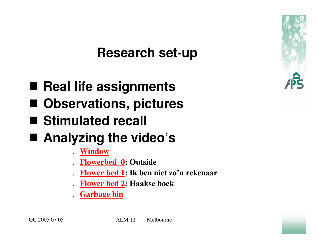### **Research set-up**

- **Real life assignments**<br>- △
- **Observations, pictures**
- **Stimulated recall**
- Analyzing the video's
	- **Window**

.

.

.

- **Flowerbed 0: Outside**
- .**Flower bed 1: Ik ben niet zo'n rekenaar**
- .**Flower bed 2: Haakse hoek**
- **Garbage bin**

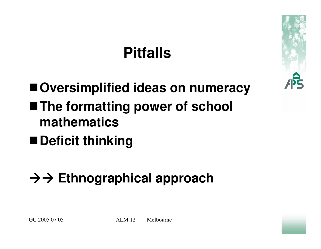# **Pitfalls**

# ■ Oversimplified ideas on numeracy

- The formatting power of school **mathematics**
- Deficit thinking

# -- **Ethnographical approach**

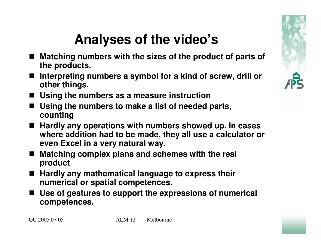

# **Analyses of the video's**

- Matching numbers with the sizes of the product of parts of **the product the products.**
- **Interpreting numbers a symbol for a kind of screw, drill or other things.**
- **Using the numbers as a measure instruction**
- Using the numbers to make a list of needed parts, **counting**
- Hardly any operations with numbers showed up. In cases<br>and the made they all use a saleulator of **where addition had to be made, they all use a calculator or even Excel in a very natural way.**
- Matching complex plans and schemes with the real<br>**product product**
- Hardly any mathematical language to express their **■** hardly any mathematical language to express their **numerical or spatial competences.**
- **Use of gestures to support the expressions of numerical competences.**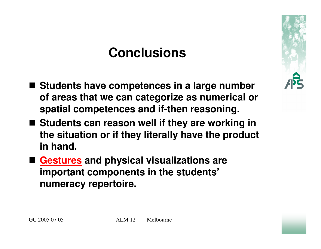# **Conclusions**

- Students have competences in a large number **of areas that we can categorize as numerical or spatial competences and if-then reasoning.**
- Students can reason well if they are working in **the situation or if they literally have the productin hand.**
- **Gestures and physical visualizations are important components in the students'numeracy repertoire.**

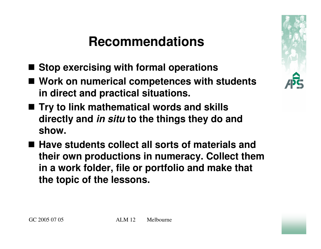#### **Recommendations**

- Stop exercising with formal operations
- Work on numerical competences with students **in direct and practical situations.**
- Try to link mathematical words and skills **directly and in situ to the things they do and show.**
- Have students collect all sorts of materials and<br>
in all of their evening in all materials and **their own productions in numeracy. Collect them in a work folder, file or portfolio and make that the topic of the lessons.**

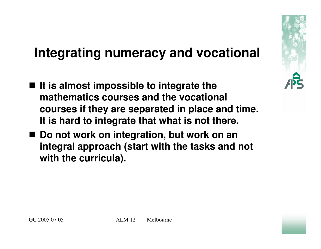### **Integrating numeracy and vocational**

- It is almost impossible to integrate the **mathematics courses and the vocational courses if they are separated in place and time. It is hard to integrate that what is not there.**
- Do not work on integration, but work on an **but work on the state of the state on d** integration and **n integral approach (start with the tasks and not with the curricula).**